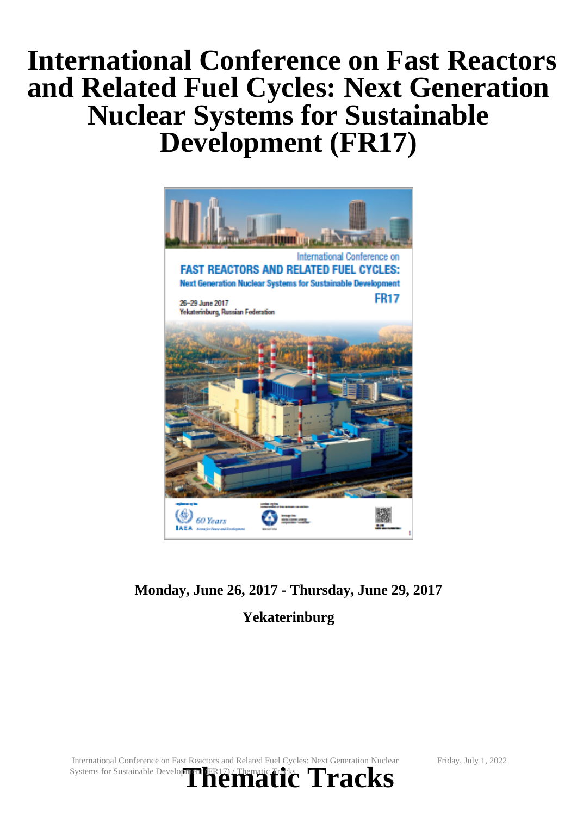# **International Conference on Fast Reactors and Related Fuel Cycles: Next Generation Nuclear Systems for Sustainable Development (FR17)**



## **Monday, June 26, 2017 - Thursday, June 29, 2017 Yekaterinburg**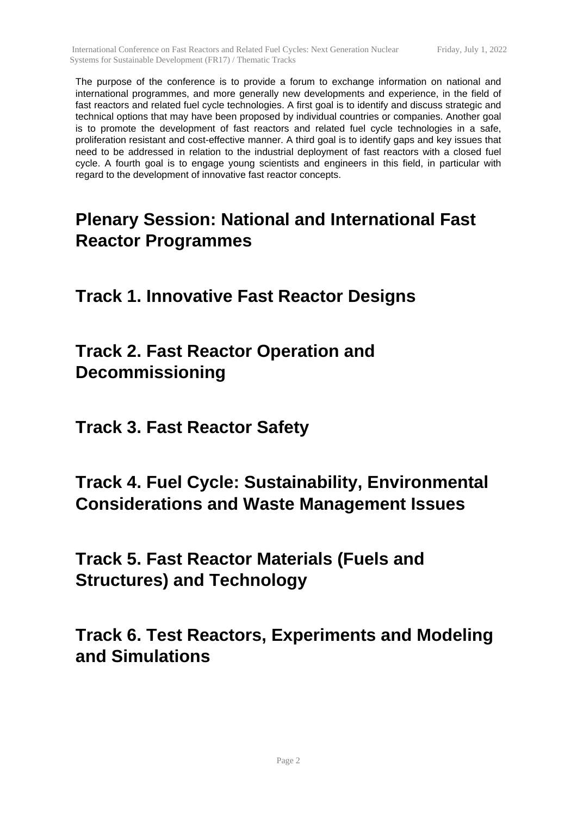The purpose of the conference is to provide a forum to exchange information on national and international programmes, and more generally new developments and experience, in the field of fast reactors and related fuel cycle technologies. A first goal is to identify and discuss strategic and technical options that may have been proposed by individual countries or companies. Another goal is to promote the development of fast reactors and related fuel cycle technologies in a safe, proliferation resistant and cost-effective manner. A third goal is to identify gaps and key issues that need to be addressed in relation to the industrial deployment of fast reactors with a closed fuel cycle. A fourth goal is to engage young scientists and engineers in this field, in particular with regard to the development of innovative fast reactor concepts.

# **Plenary Session: National and International Fast Reactor Programmes**

**Track 1. Innovative Fast Reactor Designs**

**Track 2. Fast Reactor Operation and Decommissioning**

**Track 3. Fast Reactor Safety**

### **Track 4. Fuel Cycle: Sustainability, Environmental Considerations and Waste Management Issues**

**Track 5. Fast Reactor Materials (Fuels and Structures) and Technology**

**Track 6. Test Reactors, Experiments and Modeling and Simulations**